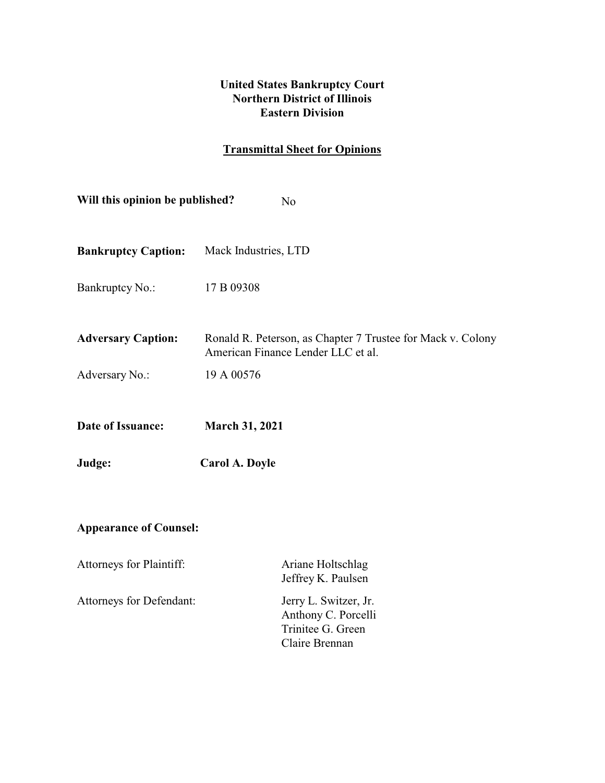# **United States Bankruptcy Court Northern District of Illinois Eastern Division**

# **Transmittal Sheet for Opinions**

| Will this opinion be published?<br>N <sub>o</sub> |                                                                                                   |  |  |  |
|---------------------------------------------------|---------------------------------------------------------------------------------------------------|--|--|--|
| <b>Bankruptcy Caption:</b>                        | Mack Industries, LTD                                                                              |  |  |  |
| Bankruptcy No.:                                   | 17 B 09308                                                                                        |  |  |  |
| <b>Adversary Caption:</b>                         | Ronald R. Peterson, as Chapter 7 Trustee for Mack v. Colony<br>American Finance Lender LLC et al. |  |  |  |
| Adversary No.:                                    | 19 A 00576                                                                                        |  |  |  |
| Date of Issuance:                                 | <b>March 31, 2021</b>                                                                             |  |  |  |
| Judge:                                            | Carol A. Doyle                                                                                    |  |  |  |
| <b>Appearance of Counsel:</b>                     |                                                                                                   |  |  |  |
| Attorneys for Plaintiff:                          | Ariane Holtschlag<br>Jeffrey K. Paulsen                                                           |  |  |  |
| Attorneys for Defendant:                          | Jerry L. Switzer, Jr.<br>Anthony C. Porcelli<br>Trinitee G. Green<br>Claire Brennan               |  |  |  |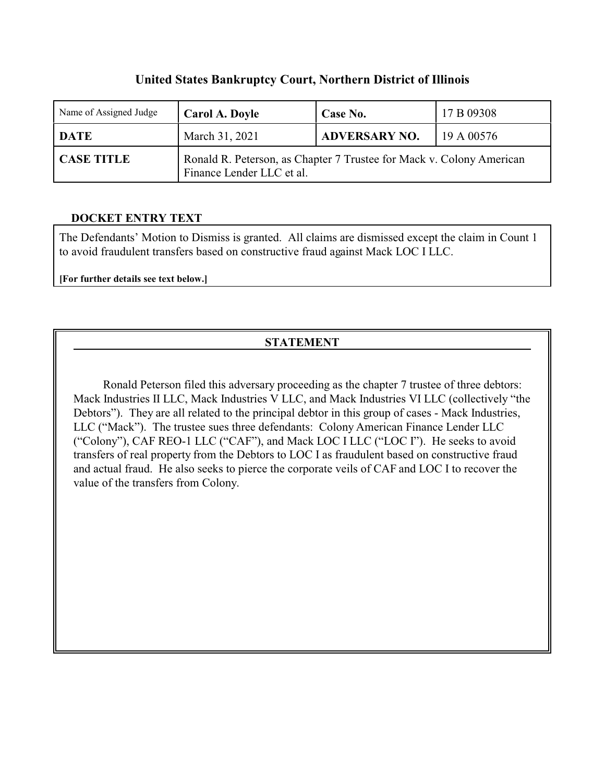# **United States Bankruptcy Court, Northern District of Illinois**

| Name of Assigned Judge | Carol A. Doyle                                                                                    | Case No.             | 17 B 09308 |
|------------------------|---------------------------------------------------------------------------------------------------|----------------------|------------|
| <b>DATE</b>            | March 31, 2021                                                                                    | <b>ADVERSARY NO.</b> | 19A00576   |
| <b>CASE TITLE</b>      | Ronald R. Peterson, as Chapter 7 Trustee for Mack v. Colony American<br>Finance Lender LLC et al. |                      |            |

# **DOCKET ENTRY TEXT**

The Defendants' Motion to Dismiss is granted. All claims are dismissed except the claim in Count 1 to avoid fraudulent transfers based on constructive fraud against Mack LOC I LLC.

**[For further details see text below.]**

# **STATEMENT**

 Ronald Peterson filed this adversary proceeding as the chapter 7 trustee of three debtors: Mack Industries II LLC, Mack Industries V LLC, and Mack Industries VI LLC (collectively "the Debtors"). They are all related to the principal debtor in this group of cases - Mack Industries, LLC ("Mack"). The trustee sues three defendants: Colony American Finance Lender LLC ("Colony"), CAF REO-1 LLC ("CAF"), and Mack LOC I LLC ("LOC I"). He seeks to avoid transfers of real property from the Debtors to LOC I as fraudulent based on constructive fraud and actual fraud. He also seeks to pierce the corporate veils of CAF and LOC I to recover the value of the transfers from Colony.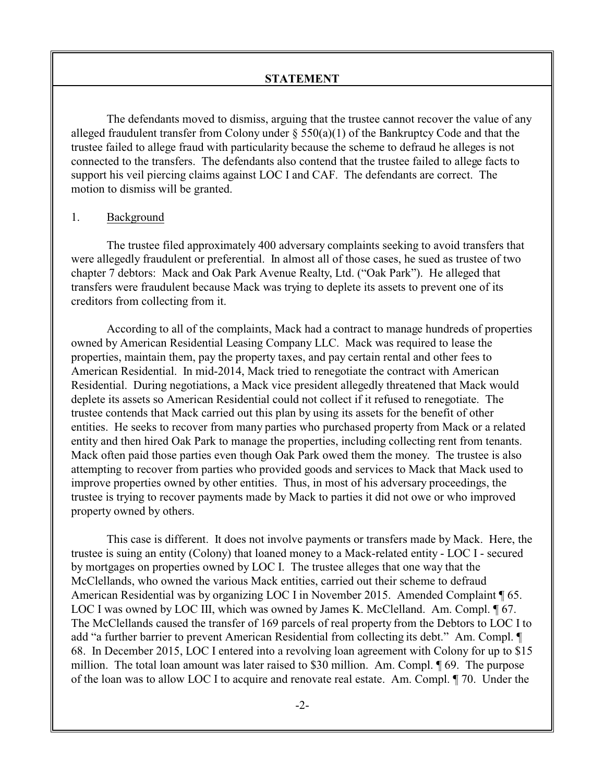The defendants moved to dismiss, arguing that the trustee cannot recover the value of any alleged fraudulent transfer from Colony under  $\S$  550(a)(1) of the Bankruptcy Code and that the trustee failed to allege fraud with particularity because the scheme to defraud he alleges is not connected to the transfers. The defendants also contend that the trustee failed to allege facts to support his veil piercing claims against LOC I and CAF. The defendants are correct. The motion to dismiss will be granted.

#### 1. Background

The trustee filed approximately 400 adversary complaints seeking to avoid transfers that were allegedly fraudulent or preferential. In almost all of those cases, he sued as trustee of two chapter 7 debtors: Mack and Oak Park Avenue Realty, Ltd. ("Oak Park"). He alleged that transfers were fraudulent because Mack was trying to deplete its assets to prevent one of its creditors from collecting from it.

According to all of the complaints, Mack had a contract to manage hundreds of properties owned by American Residential Leasing Company LLC. Mack was required to lease the properties, maintain them, pay the property taxes, and pay certain rental and other fees to American Residential. In mid-2014, Mack tried to renegotiate the contract with American Residential. During negotiations, a Mack vice president allegedly threatened that Mack would deplete its assets so American Residential could not collect if it refused to renegotiate. The trustee contends that Mack carried out this plan by using its assets for the benefit of other entities. He seeks to recover from many parties who purchased property from Mack or a related entity and then hired Oak Park to manage the properties, including collecting rent from tenants. Mack often paid those parties even though Oak Park owed them the money. The trustee is also attempting to recover from parties who provided goods and services to Mack that Mack used to improve properties owned by other entities. Thus, in most of his adversary proceedings, the trustee is trying to recover payments made by Mack to parties it did not owe or who improved property owned by others.

This case is different. It does not involve payments or transfers made by Mack. Here, the trustee is suing an entity (Colony) that loaned money to a Mack-related entity - LOC I - secured by mortgages on properties owned by LOC I. The trustee alleges that one way that the McClellands, who owned the various Mack entities, carried out their scheme to defraud American Residential was by organizing LOC I in November 2015. Amended Complaint ¶ 65. LOC I was owned by LOC III, which was owned by James K. McClelland. Am. Compl.  $\P$  67. The McClellands caused the transfer of 169 parcels of real property from the Debtors to LOC I to add "a further barrier to prevent American Residential from collecting its debt." Am. Compl. ¶ 68. In December 2015, LOC I entered into a revolving loan agreement with Colony for up to \$15 million. The total loan amount was later raised to \$30 million. Am. Compl. ¶ 69. The purpose of the loan was to allow LOC I to acquire and renovate real estate. Am. Compl. ¶ 70. Under the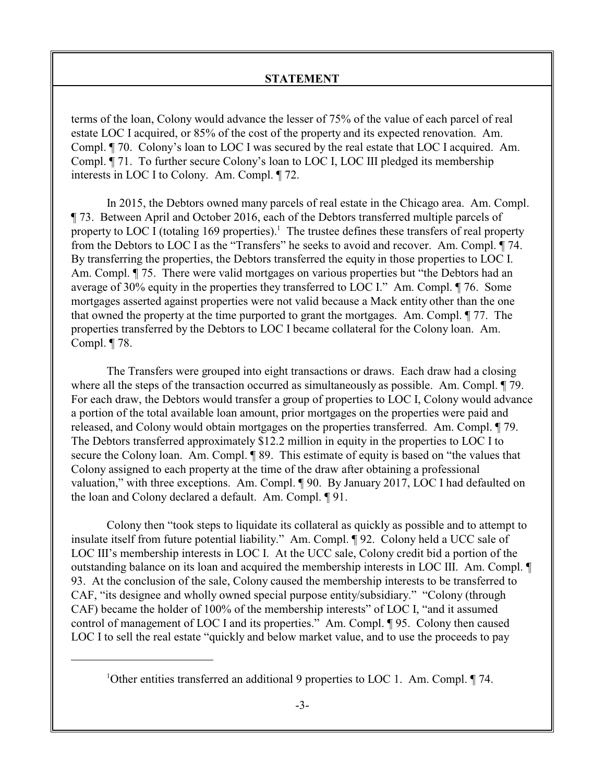terms of the loan, Colony would advance the lesser of 75% of the value of each parcel of real estate LOC I acquired, or 85% of the cost of the property and its expected renovation. Am. Compl. ¶ 70. Colony's loan to LOC I was secured by the real estate that LOC I acquired. Am. Compl. ¶ 71. To further secure Colony's loan to LOC I, LOC III pledged its membership interests in LOC I to Colony. Am. Compl. ¶ 72.

In 2015, the Debtors owned many parcels of real estate in the Chicago area. Am. Compl. ¶ 73. Between April and October 2016, each of the Debtors transferred multiple parcels of property to LOC I (totaling 169 properties).<sup>1</sup> The trustee defines these transfers of real property from the Debtors to LOC I as the "Transfers" he seeks to avoid and recover. Am. Compl. ¶ 74. By transferring the properties, the Debtors transferred the equity in those properties to LOC I. Am. Compl. ¶ 75. There were valid mortgages on various properties but "the Debtors had an average of 30% equity in the properties they transferred to LOC I." Am. Compl. ¶ 76. Some mortgages asserted against properties were not valid because a Mack entity other than the one that owned the property at the time purported to grant the mortgages. Am. Compl. ¶ 77. The properties transferred by the Debtors to LOC I became collateral for the Colony loan. Am. Compl. ¶ 78.

The Transfers were grouped into eight transactions or draws. Each draw had a closing where all the steps of the transaction occurred as simultaneously as possible. Am. Compl.  $\P$  79. For each draw, the Debtors would transfer a group of properties to LOC I, Colony would advance a portion of the total available loan amount, prior mortgages on the properties were paid and released, and Colony would obtain mortgages on the properties transferred. Am. Compl. ¶ 79. The Debtors transferred approximately \$12.2 million in equity in the properties to LOC I to secure the Colony loan. Am. Compl. ¶ 89. This estimate of equity is based on "the values that Colony assigned to each property at the time of the draw after obtaining a professional valuation," with three exceptions. Am. Compl. ¶ 90. By January 2017, LOC I had defaulted on the loan and Colony declared a default. Am. Compl. ¶ 91.

Colony then "took steps to liquidate its collateral as quickly as possible and to attempt to insulate itself from future potential liability." Am. Compl. ¶ 92. Colony held a UCC sale of LOC III's membership interests in LOC I. At the UCC sale, Colony credit bid a portion of the outstanding balance on its loan and acquired the membership interests in LOC III. Am. Compl. ¶ 93. At the conclusion of the sale, Colony caused the membership interests to be transferred to CAF, "its designee and wholly owned special purpose entity/subsidiary." "Colony (through CAF) became the holder of 100% of the membership interests" of LOC I, "and it assumed control of management of LOC I and its properties." Am. Compl. ¶ 95. Colony then caused LOC I to sell the real estate "quickly and below market value, and to use the proceeds to pay

<sup>&</sup>lt;sup>1</sup>Other entities transferred an additional 9 properties to LOC 1. Am. Compl.  $\P$  74.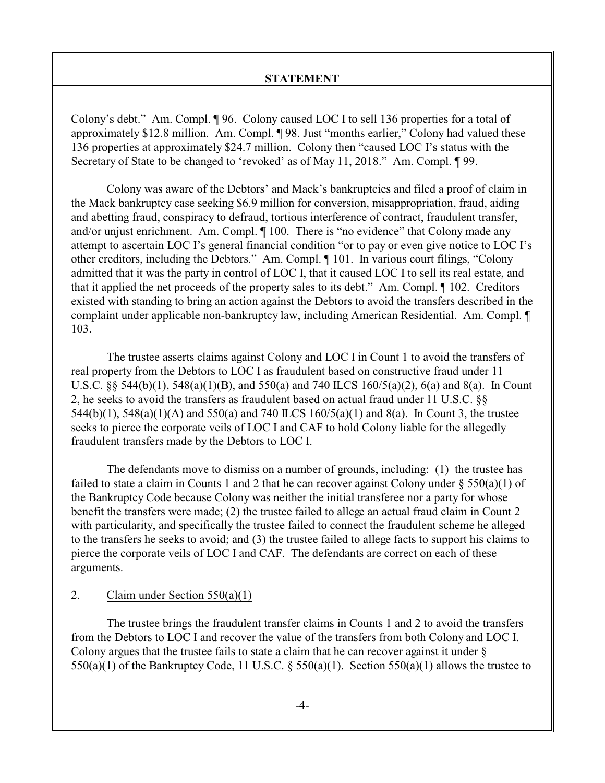Colony's debt." Am. Compl. ¶ 96. Colony caused LOC I to sell 136 properties for a total of approximately \$12.8 million. Am. Compl. ¶ 98. Just "months earlier," Colony had valued these 136 properties at approximately \$24.7 million. Colony then "caused LOC I's status with the Secretary of State to be changed to 'revoked' as of May 11, 2018." Am. Compl. 199.

Colony was aware of the Debtors' and Mack's bankruptcies and filed a proof of claim in the Mack bankruptcy case seeking \$6.9 million for conversion, misappropriation, fraud, aiding and abetting fraud, conspiracy to defraud, tortious interference of contract, fraudulent transfer, and/or unjust enrichment. Am. Compl. ¶ 100. There is "no evidence" that Colony made any attempt to ascertain LOC I's general financial condition "or to pay or even give notice to LOC I's other creditors, including the Debtors." Am. Compl. ¶ 101. In various court filings, "Colony admitted that it was the party in control of LOC I, that it caused LOC I to sell its real estate, and that it applied the net proceeds of the property sales to its debt." Am. Compl. ¶ 102. Creditors existed with standing to bring an action against the Debtors to avoid the transfers described in the complaint under applicable non-bankruptcy law, including American Residential. Am. Compl. ¶ 103.

The trustee asserts claims against Colony and LOC I in Count 1 to avoid the transfers of real property from the Debtors to LOC I as fraudulent based on constructive fraud under 11 U.S.C.  $\S$  544(b)(1), 548(a)(1)(B), and 550(a) and 740 ILCS 160/5(a)(2), 6(a) and 8(a). In Count 2, he seeks to avoid the transfers as fraudulent based on actual fraud under 11 U.S.C. §§ 544(b)(1), 548(a)(1)(A) and 550(a) and 740 ILCS 160/5(a)(1) and 8(a). In Count 3, the trustee seeks to pierce the corporate veils of LOC I and CAF to hold Colony liable for the allegedly fraudulent transfers made by the Debtors to LOC I.

The defendants move to dismiss on a number of grounds, including: (1) the trustee has failed to state a claim in Counts 1 and 2 that he can recover against Colony under  $\S 550(a)(1)$  of the Bankruptcy Code because Colony was neither the initial transferee nor a party for whose benefit the transfers were made; (2) the trustee failed to allege an actual fraud claim in Count 2 with particularity, and specifically the trustee failed to connect the fraudulent scheme he alleged to the transfers he seeks to avoid; and (3) the trustee failed to allege facts to support his claims to pierce the corporate veils of LOC I and CAF. The defendants are correct on each of these arguments.

### 2. Claim under Section 550(a)(1)

The trustee brings the fraudulent transfer claims in Counts 1 and 2 to avoid the transfers from the Debtors to LOC I and recover the value of the transfers from both Colony and LOC I. Colony argues that the trustee fails to state a claim that he can recover against it under §  $550(a)(1)$  of the Bankruptcy Code, 11 U.S.C. §  $550(a)(1)$ . Section  $550(a)(1)$  allows the trustee to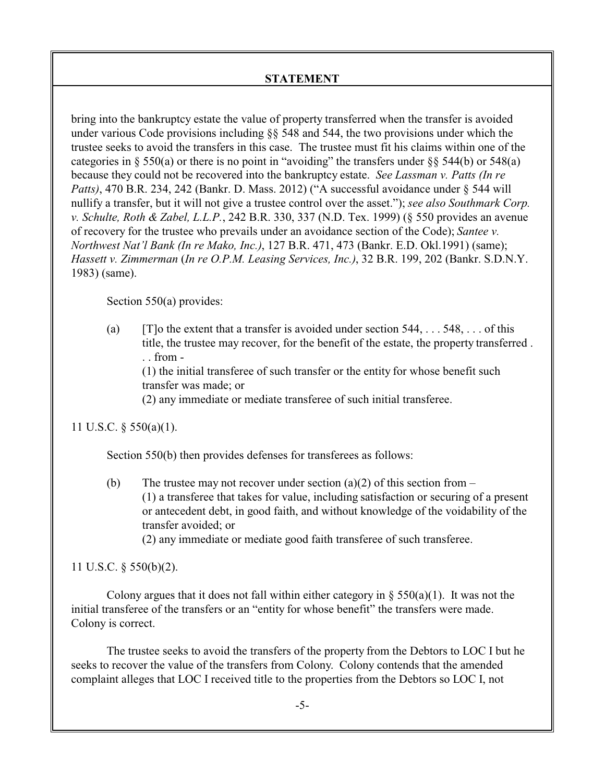bring into the bankruptcy estate the value of property transferred when the transfer is avoided under various Code provisions including  $\S$  548 and 544, the two provisions under which the trustee seeks to avoid the transfers in this case. The trustee must fit his claims within one of the categories in § 550(a) or there is no point in "avoiding" the transfers under §§ 544(b) or 548(a) because they could not be recovered into the bankruptcy estate. *See Lassman v. Patts (In re Patts)*, 470 B.R. 234, 242 (Bankr. D. Mass. 2012) ("A successful avoidance under § 544 will nullify a transfer, but it will not give a trustee control over the asset."); *see also Southmark Corp. v. Schulte, Roth & Zabel, L.L.P.*, 242 B.R. 330, 337 (N.D. Tex. 1999) (§ 550 provides an avenue of recovery for the trustee who prevails under an avoidance section of the Code); *Santee v. Northwest Nat'l Bank (In re Mako, Inc.)*, 127 B.R. 471, 473 (Bankr. E.D. Okl.1991) (same); *Hassett v. Zimmerman* (*In re O.P.M. Leasing Services, Inc.)*, 32 B.R. 199, 202 (Bankr. S.D.N.Y. 1983) (same).

Section 550(a) provides:

(a)  $[T]$ o the extent that a transfer is avoided under section 544, . . . 548, . . . of this title, the trustee may recover, for the benefit of the estate, the property transferred .  $\therefore$  from -

(1) the initial transferee of such transfer or the entity for whose benefit such transfer was made; or

(2) any immediate or mediate transferee of such initial transferee.

11 U.S.C. § 550(a)(1).

Section 550(b) then provides defenses for transferees as follows:

(b) The trustee may not recover under section (a)(2) of this section from  $-$ (1) a transferee that takes for value, including satisfaction or securing of a present or antecedent debt, in good faith, and without knowledge of the voidability of the transfer avoided; or

(2) any immediate or mediate good faith transferee of such transferee.

11 U.S.C. § 550(b)(2).

Colony argues that it does not fall within either category in  $\S 550(a)(1)$ . It was not the initial transferee of the transfers or an "entity for whose benefit" the transfers were made. Colony is correct.

The trustee seeks to avoid the transfers of the property from the Debtors to LOC I but he seeks to recover the value of the transfers from Colony. Colony contends that the amended complaint alleges that LOC I received title to the properties from the Debtors so LOC I, not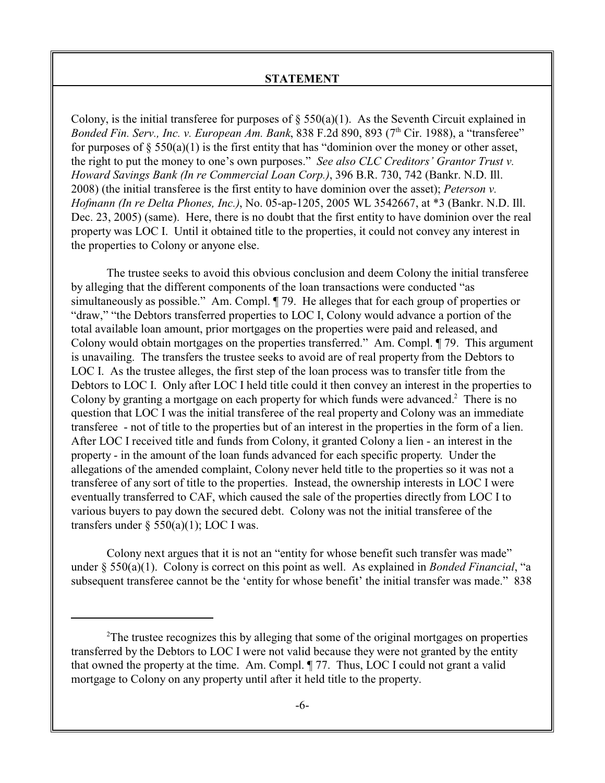Colony, is the initial transferee for purposes of  $\S$  550(a)(1). As the Seventh Circuit explained in Bonded Fin. Serv., Inc. v. European Am. Bank, 838 F.2d 890, 893 (7<sup>th</sup> Cir. 1988), a "transferee" for purposes of  $\S 550(a)(1)$  is the first entity that has "dominion over the money or other asset, the right to put the money to one's own purposes." *See also CLC Creditors' Grantor Trust v. Howard Savings Bank (In re Commercial Loan Corp.)*, 396 B.R. 730, 742 (Bankr. N.D. Ill. 2008) (the initial transferee is the first entity to have dominion over the asset); *Peterson v. Hofmann (In re Delta Phones, Inc.)*, No. 05-ap-1205, 2005 WL 3542667, at \*3 (Bankr. N.D. Ill. Dec. 23, 2005) (same). Here, there is no doubt that the first entity to have dominion over the real property was LOC I. Until it obtained title to the properties, it could not convey any interest in the properties to Colony or anyone else.

The trustee seeks to avoid this obvious conclusion and deem Colony the initial transferee by alleging that the different components of the loan transactions were conducted "as simultaneously as possible." Am. Compl. ¶ 79. He alleges that for each group of properties or "draw," "the Debtors transferred properties to LOC I, Colony would advance a portion of the total available loan amount, prior mortgages on the properties were paid and released, and Colony would obtain mortgages on the properties transferred." Am. Compl. ¶ 79. This argument is unavailing. The transfers the trustee seeks to avoid are of real property from the Debtors to LOC I. As the trustee alleges, the first step of the loan process was to transfer title from the Debtors to LOC I. Only after LOC I held title could it then convey an interest in the properties to Colony by granting a mortgage on each property for which funds were advanced.<sup>2</sup> There is no question that LOC I was the initial transferee of the real property and Colony was an immediate transferee - not of title to the properties but of an interest in the properties in the form of a lien. After LOC I received title and funds from Colony, it granted Colony a lien - an interest in the property - in the amount of the loan funds advanced for each specific property. Under the allegations of the amended complaint, Colony never held title to the properties so it was not a transferee of any sort of title to the properties. Instead, the ownership interests in LOC I were eventually transferred to CAF, which caused the sale of the properties directly from LOC I to various buyers to pay down the secured debt. Colony was not the initial transferee of the transfers under  $\S$  550(a)(1); LOC I was.

Colony next argues that it is not an "entity for whose benefit such transfer was made" under § 550(a)(1). Colony is correct on this point as well. As explained in *Bonded Financial*, "a subsequent transferee cannot be the 'entity for whose benefit' the initial transfer was made." 838

<sup>&</sup>lt;sup>2</sup>The trustee recognizes this by alleging that some of the original mortgages on properties transferred by the Debtors to LOC I were not valid because they were not granted by the entity that owned the property at the time. Am. Compl. ¶ 77. Thus, LOC I could not grant a valid mortgage to Colony on any property until after it held title to the property.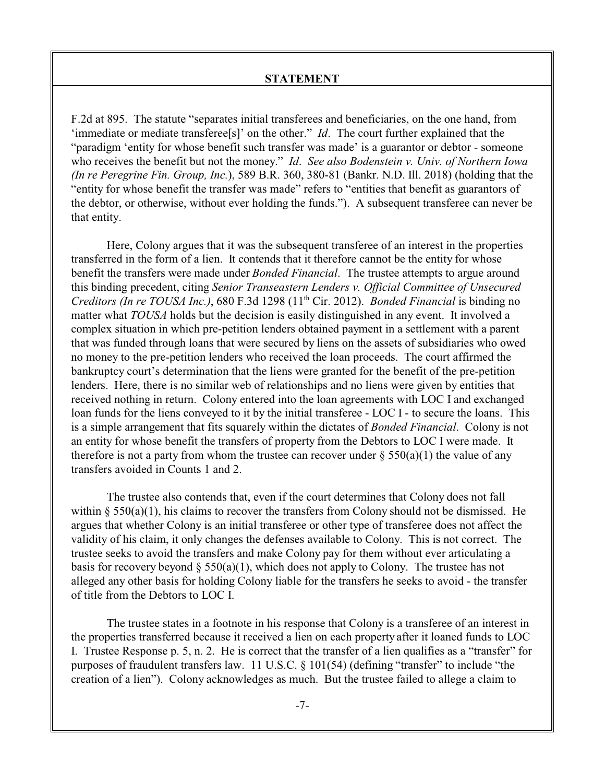F.2d at 895. The statute "separates initial transferees and beneficiaries, on the one hand, from 'immediate or mediate transferee[s]' on the other." *Id*. The court further explained that the "paradigm 'entity for whose benefit such transfer was made' is a guarantor or debtor - someone who receives the benefit but not the money." *Id*. *See also Bodenstein v. Univ. of Northern Iowa (In re Peregrine Fin. Group, Inc.*), 589 B.R. 360, 380-81 (Bankr. N.D. Ill. 2018) (holding that the "entity for whose benefit the transfer was made" refers to "entities that benefit as guarantors of the debtor, or otherwise, without ever holding the funds."). A subsequent transferee can never be that entity.

Here, Colony argues that it was the subsequent transferee of an interest in the properties transferred in the form of a lien. It contends that it therefore cannot be the entity for whose benefit the transfers were made under *Bonded Financial*. The trustee attempts to argue around this binding precedent, citing *Senior Transeastern Lenders v. Official Committee of Unsecured* Creditors (In re TOUSA Inc.), 680 F.3d 1298 (11<sup>th</sup> Cir. 2012). *Bonded Financial* is binding no matter what *TOUSA* holds but the decision is easily distinguished in any event. It involved a complex situation in which pre-petition lenders obtained payment in a settlement with a parent that was funded through loans that were secured by liens on the assets of subsidiaries who owed no money to the pre-petition lenders who received the loan proceeds. The court affirmed the bankruptcy court's determination that the liens were granted for the benefit of the pre-petition lenders. Here, there is no similar web of relationships and no liens were given by entities that received nothing in return. Colony entered into the loan agreements with LOC I and exchanged loan funds for the liens conveyed to it by the initial transferee - LOC I - to secure the loans. This is a simple arrangement that fits squarely within the dictates of *Bonded Financial*. Colony is not an entity for whose benefit the transfers of property from the Debtors to LOC I were made. It therefore is not a party from whom the trustee can recover under  $\S 550(a)(1)$  the value of any transfers avoided in Counts 1 and 2.

The trustee also contends that, even if the court determines that Colony does not fall within  $\S$  550(a)(1), his claims to recover the transfers from Colony should not be dismissed. He argues that whether Colony is an initial transferee or other type of transferee does not affect the validity of his claim, it only changes the defenses available to Colony. This is not correct. The trustee seeks to avoid the transfers and make Colony pay for them without ever articulating a basis for recovery beyond  $\S$  550(a)(1), which does not apply to Colony. The trustee has not alleged any other basis for holding Colony liable for the transfers he seeks to avoid - the transfer of title from the Debtors to LOC I.

The trustee states in a footnote in his response that Colony is a transferee of an interest in the properties transferred because it received a lien on each property after it loaned funds to LOC I. Trustee Response p. 5, n. 2. He is correct that the transfer of a lien qualifies as a "transfer" for purposes of fraudulent transfers law. 11 U.S.C. § 101(54) (defining "transfer" to include "the creation of a lien"). Colony acknowledges as much. But the trustee failed to allege a claim to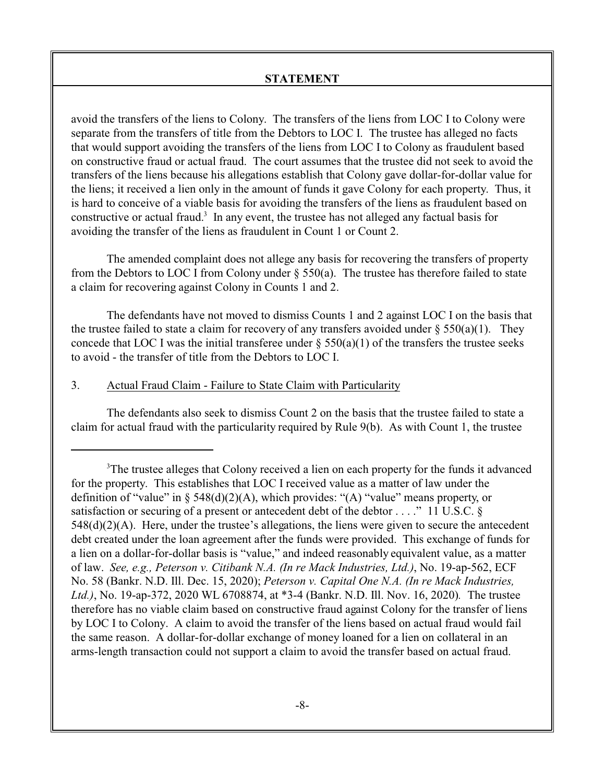avoid the transfers of the liens to Colony. The transfers of the liens from LOC I to Colony were separate from the transfers of title from the Debtors to LOC I. The trustee has alleged no facts that would support avoiding the transfers of the liens from LOC I to Colony as fraudulent based on constructive fraud or actual fraud. The court assumes that the trustee did not seek to avoid the transfers of the liens because his allegations establish that Colony gave dollar-for-dollar value for the liens; it received a lien only in the amount of funds it gave Colony for each property. Thus, it is hard to conceive of a viable basis for avoiding the transfers of the liens as fraudulent based on constructive or actual fraud. $3\,$  In any event, the trustee has not alleged any factual basis for avoiding the transfer of the liens as fraudulent in Count 1 or Count 2.

The amended complaint does not allege any basis for recovering the transfers of property from the Debtors to LOC I from Colony under § 550(a). The trustee has therefore failed to state a claim for recovering against Colony in Counts 1 and 2.

The defendants have not moved to dismiss Counts 1 and 2 against LOC I on the basis that the trustee failed to state a claim for recovery of any transfers avoided under  $\S 550(a)(1)$ . They concede that LOC I was the initial transferee under  $\S 550(a)(1)$  of the transfers the trustee seeks to avoid - the transfer of title from the Debtors to LOC I.

# 3. Actual Fraud Claim - Failure to State Claim with Particularity

The defendants also seek to dismiss Count 2 on the basis that the trustee failed to state a claim for actual fraud with the particularity required by Rule 9(b). As with Count 1, the trustee

<sup>&</sup>lt;sup>3</sup>The trustee alleges that Colony received a lien on each property for the funds it advanced for the property. This establishes that LOC I received value as a matter of law under the definition of "value" in  $\S$  548(d)(2)(A), which provides: "(A) "value" means property, or satisfaction or securing of a present or antecedent debt of the debtor . . . ." 11 U.S.C. §  $548(d)(2)(A)$ . Here, under the trustee's allegations, the liens were given to secure the antecedent debt created under the loan agreement after the funds were provided. This exchange of funds for a lien on a dollar-for-dollar basis is "value," and indeed reasonably equivalent value, as a matter of law. *See, e.g., Peterson v. Citibank N.A. (In re Mack Industries, Ltd.)*, No. 19-ap-562, ECF No. 58 (Bankr. N.D. Ill. Dec. 15, 2020); *Peterson v. Capital One N.A. (In re Mack Industries, Ltd.)*, No. 19-ap-372, 2020 WL 6708874, at \*3-4 (Bankr. N.D. Ill. Nov. 16, 2020)*.* The trustee therefore has no viable claim based on constructive fraud against Colony for the transfer of liens by LOC I to Colony. A claim to avoid the transfer of the liens based on actual fraud would fail the same reason. A dollar-for-dollar exchange of money loaned for a lien on collateral in an arms-length transaction could not support a claim to avoid the transfer based on actual fraud.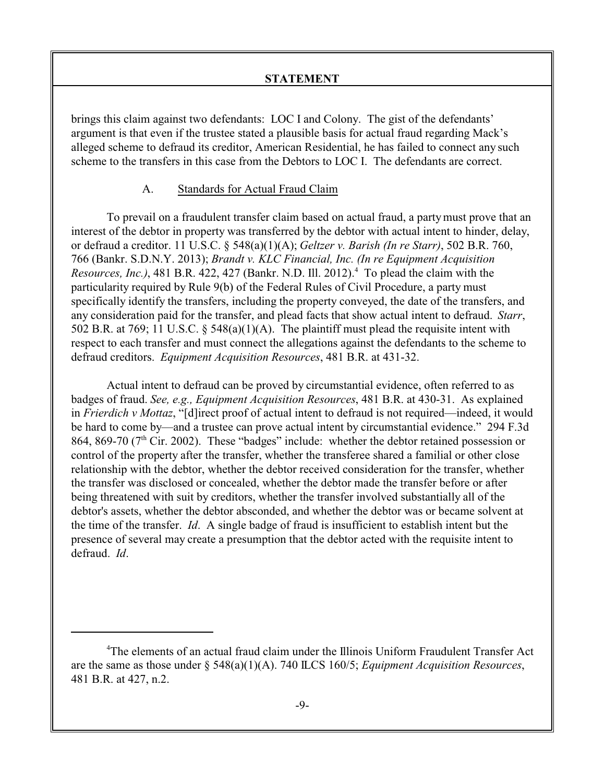brings this claim against two defendants: LOC I and Colony. The gist of the defendants' argument is that even if the trustee stated a plausible basis for actual fraud regarding Mack's alleged scheme to defraud its creditor, American Residential, he has failed to connect any such scheme to the transfers in this case from the Debtors to LOC I. The defendants are correct.

#### A. Standards for Actual Fraud Claim

To prevail on a fraudulent transfer claim based on actual fraud, a partymust prove that an interest of the debtor in property was transferred by the debtor with actual intent to hinder, delay, or defraud a creditor. 11 U.S.C. § 548(a)(1)(A); *Geltzer v. Barish (In re Starr)*, 502 B.R. 760, 766 (Bankr. S.D.N.Y. 2013); *Brandt v. KLC Financial, Inc. (In re Equipment Acquisition* Resources, Inc.), 481 B.R. 422, 427 (Bankr. N.D. Ill. 2012).<sup>4</sup> To plead the claim with the particularity required by Rule 9(b) of the Federal Rules of Civil Procedure, a party must specifically identify the transfers, including the property conveyed, the date of the transfers, and any consideration paid for the transfer, and plead facts that show actual intent to defraud. *Starr*, 502 B.R. at 769; 11 U.S.C. § 548(a)(1)(A). The plaintiff must plead the requisite intent with respect to each transfer and must connect the allegations against the defendants to the scheme to defraud creditors. *Equipment Acquisition Resources*, 481 B.R. at 431-32.

Actual intent to defraud can be proved by circumstantial evidence, often referred to as badges of fraud. *See, e.g., Equipment Acquisition Resources*, 481 B.R. at 430-31. As explained in *Frierdich v Mottaz*, "[d]irect proof of actual intent to defraud is not required—indeed, it would be hard to come by—and a trustee can prove actual intent by circumstantial evidence." 294 F.3d 864, 869-70 (7<sup>th</sup> Cir. 2002). These "badges" include: whether the debtor retained possession or control of the property after the transfer, whether the transferee shared a familial or other close relationship with the debtor, whether the debtor received consideration for the transfer, whether the transfer was disclosed or concealed, whether the debtor made the transfer before or after being threatened with suit by creditors, whether the transfer involved substantially all of the debtor's assets, whether the debtor absconded, and whether the debtor was or became solvent at the time of the transfer. *Id*. A single badge of fraud is insufficient to establish intent but the presence of several may create a presumption that the debtor acted with the requisite intent to defraud. *Id*.

<sup>4</sup>The elements of an actual fraud claim under the Illinois Uniform Fraudulent Transfer Act are the same as those under § 548(a)(1)(A). 740 ILCS 160/5; *Equipment Acquisition Resources*, 481 B.R. at 427, n.2.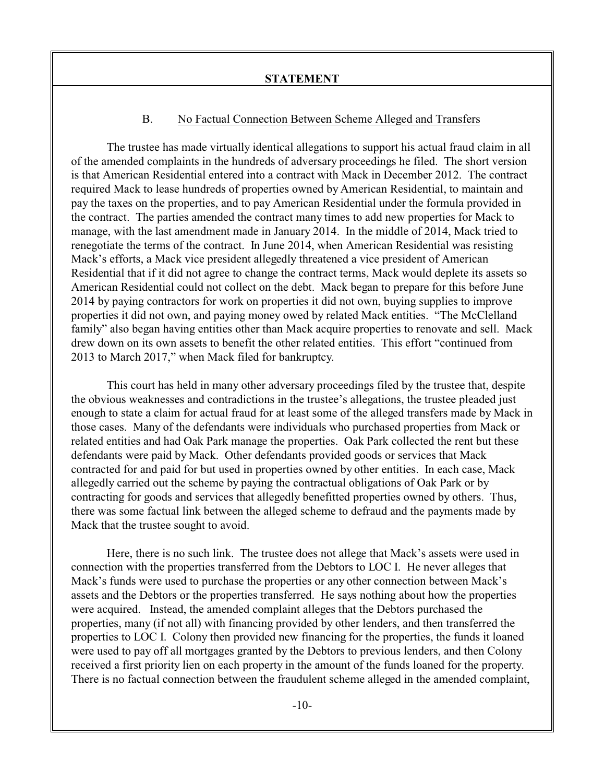## B. No Factual Connection Between Scheme Alleged and Transfers

The trustee has made virtually identical allegations to support his actual fraud claim in all of the amended complaints in the hundreds of adversary proceedings he filed. The short version is that American Residential entered into a contract with Mack in December 2012. The contract required Mack to lease hundreds of properties owned by American Residential, to maintain and pay the taxes on the properties, and to pay American Residential under the formula provided in the contract. The parties amended the contract many times to add new properties for Mack to manage, with the last amendment made in January 2014. In the middle of 2014, Mack tried to renegotiate the terms of the contract. In June 2014, when American Residential was resisting Mack's efforts, a Mack vice president allegedly threatened a vice president of American Residential that if it did not agree to change the contract terms, Mack would deplete its assets so American Residential could not collect on the debt. Mack began to prepare for this before June 2014 by paying contractors for work on properties it did not own, buying supplies to improve properties it did not own, and paying money owed by related Mack entities. "The McClelland family" also began having entities other than Mack acquire properties to renovate and sell. Mack drew down on its own assets to benefit the other related entities. This effort "continued from 2013 to March 2017," when Mack filed for bankruptcy.

This court has held in many other adversary proceedings filed by the trustee that, despite the obvious weaknesses and contradictions in the trustee's allegations, the trustee pleaded just enough to state a claim for actual fraud for at least some of the alleged transfers made by Mack in those cases. Many of the defendants were individuals who purchased properties from Mack or related entities and had Oak Park manage the properties. Oak Park collected the rent but these defendants were paid by Mack. Other defendants provided goods or services that Mack contracted for and paid for but used in properties owned by other entities. In each case, Mack allegedly carried out the scheme by paying the contractual obligations of Oak Park or by contracting for goods and services that allegedly benefitted properties owned by others. Thus, there was some factual link between the alleged scheme to defraud and the payments made by Mack that the trustee sought to avoid.

Here, there is no such link. The trustee does not allege that Mack's assets were used in connection with the properties transferred from the Debtors to LOC I. He never alleges that Mack's funds were used to purchase the properties or any other connection between Mack's assets and the Debtors or the properties transferred. He says nothing about how the properties were acquired. Instead, the amended complaint alleges that the Debtors purchased the properties, many (if not all) with financing provided by other lenders, and then transferred the properties to LOC I. Colony then provided new financing for the properties, the funds it loaned were used to pay off all mortgages granted by the Debtors to previous lenders, and then Colony received a first priority lien on each property in the amount of the funds loaned for the property. There is no factual connection between the fraudulent scheme alleged in the amended complaint,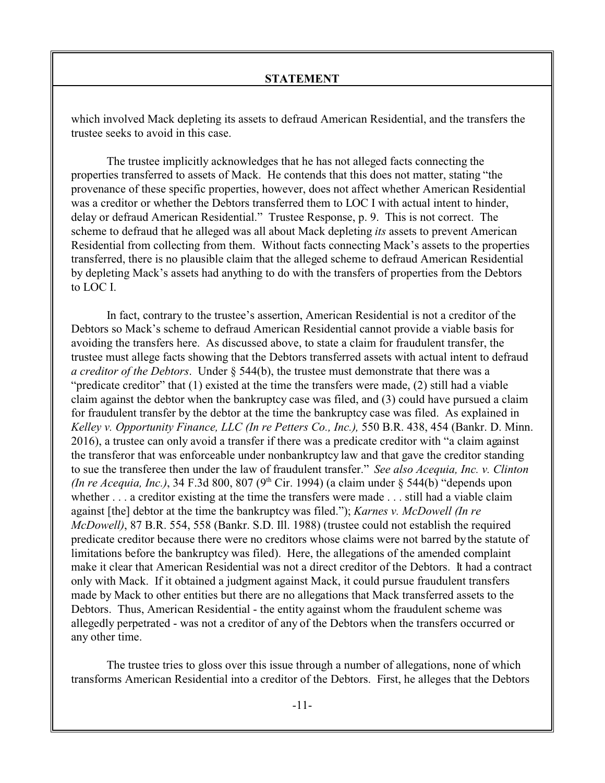which involved Mack depleting its assets to defraud American Residential, and the transfers the trustee seeks to avoid in this case.

The trustee implicitly acknowledges that he has not alleged facts connecting the properties transferred to assets of Mack. He contends that this does not matter, stating "the provenance of these specific properties, however, does not affect whether American Residential was a creditor or whether the Debtors transferred them to LOC I with actual intent to hinder, delay or defraud American Residential." Trustee Response, p. 9. This is not correct. The scheme to defraud that he alleged was all about Mack depleting *its* assets to prevent American Residential from collecting from them. Without facts connecting Mack's assets to the properties transferred, there is no plausible claim that the alleged scheme to defraud American Residential by depleting Mack's assets had anything to do with the transfers of properties from the Debtors to LOC I.

In fact, contrary to the trustee's assertion, American Residential is not a creditor of the Debtors so Mack's scheme to defraud American Residential cannot provide a viable basis for avoiding the transfers here. As discussed above, to state a claim for fraudulent transfer, the trustee must allege facts showing that the Debtors transferred assets with actual intent to defraud *a creditor of the Debtors*. Under § 544(b), the trustee must demonstrate that there was a "predicate creditor" that (1) existed at the time the transfers were made, (2) still had a viable claim against the debtor when the bankruptcy case was filed, and (3) could have pursued a claim for fraudulent transfer by the debtor at the time the bankruptcy case was filed. As explained in *Kelley v. Opportunity Finance, LLC (In re Petters Co., Inc.),* 550 B.R. 438, 454 (Bankr. D. Minn. 2016), a trustee can only avoid a transfer if there was a predicate creditor with "a claim against the transferor that was enforceable under nonbankruptcy law and that gave the creditor standing to sue the transferee then under the law of fraudulent transfer." *See also Acequia, Inc. v. Clinton (In re Acequia, Inc.)*, 34 F.3d 800, 807 (9<sup>th</sup> Cir. 1994) (a claim under § 544(b) "depends upon whether . . . a creditor existing at the time the transfers were made . . . still had a viable claim against [the] debtor at the time the bankruptcy was filed."); *Karnes v. McDowell (In re McDowell)*, 87 B.R. 554, 558 (Bankr. S.D. Ill. 1988) (trustee could not establish the required predicate creditor because there were no creditors whose claims were not barred by the statute of limitations before the bankruptcy was filed). Here, the allegations of the amended complaint make it clear that American Residential was not a direct creditor of the Debtors. It had a contract only with Mack. If it obtained a judgment against Mack, it could pursue fraudulent transfers made by Mack to other entities but there are no allegations that Mack transferred assets to the Debtors. Thus, American Residential - the entity against whom the fraudulent scheme was allegedly perpetrated - was not a creditor of any of the Debtors when the transfers occurred or any other time.

The trustee tries to gloss over this issue through a number of allegations, none of which transforms American Residential into a creditor of the Debtors. First, he alleges that the Debtors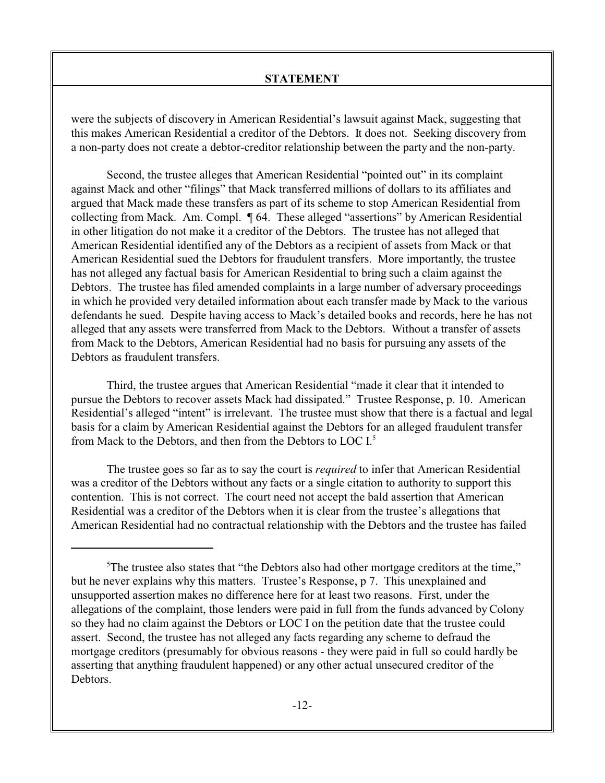were the subjects of discovery in American Residential's lawsuit against Mack, suggesting that this makes American Residential a creditor of the Debtors. It does not. Seeking discovery from a non-party does not create a debtor-creditor relationship between the party and the non-party.

Second, the trustee alleges that American Residential "pointed out" in its complaint against Mack and other "filings" that Mack transferred millions of dollars to its affiliates and argued that Mack made these transfers as part of its scheme to stop American Residential from collecting from Mack. Am. Compl. ¶ 64. These alleged "assertions" by American Residential in other litigation do not make it a creditor of the Debtors. The trustee has not alleged that American Residential identified any of the Debtors as a recipient of assets from Mack or that American Residential sued the Debtors for fraudulent transfers. More importantly, the trustee has not alleged any factual basis for American Residential to bring such a claim against the Debtors. The trustee has filed amended complaints in a large number of adversary proceedings in which he provided very detailed information about each transfer made by Mack to the various defendants he sued. Despite having access to Mack's detailed books and records, here he has not alleged that any assets were transferred from Mack to the Debtors. Without a transfer of assets from Mack to the Debtors, American Residential had no basis for pursuing any assets of the Debtors as fraudulent transfers.

Third, the trustee argues that American Residential "made it clear that it intended to pursue the Debtors to recover assets Mack had dissipated." Trustee Response, p. 10. American Residential's alleged "intent" is irrelevant. The trustee must show that there is a factual and legal basis for a claim by American Residential against the Debtors for an alleged fraudulent transfer from Mack to the Debtors, and then from the Debtors to LOC I. 5

The trustee goes so far as to say the court is *required* to infer that American Residential was a creditor of the Debtors without any facts or a single citation to authority to support this contention. This is not correct. The court need not accept the bald assertion that American Residential was a creditor of the Debtors when it is clear from the trustee's allegations that American Residential had no contractual relationship with the Debtors and the trustee has failed

<sup>&</sup>lt;sup>5</sup>The trustee also states that "the Debtors also had other mortgage creditors at the time," but he never explains why this matters. Trustee's Response, p 7. This unexplained and unsupported assertion makes no difference here for at least two reasons. First, under the allegations of the complaint, those lenders were paid in full from the funds advanced by Colony so they had no claim against the Debtors or LOC I on the petition date that the trustee could assert. Second, the trustee has not alleged any facts regarding any scheme to defraud the mortgage creditors (presumably for obvious reasons - they were paid in full so could hardly be asserting that anything fraudulent happened) or any other actual unsecured creditor of the **Debtors**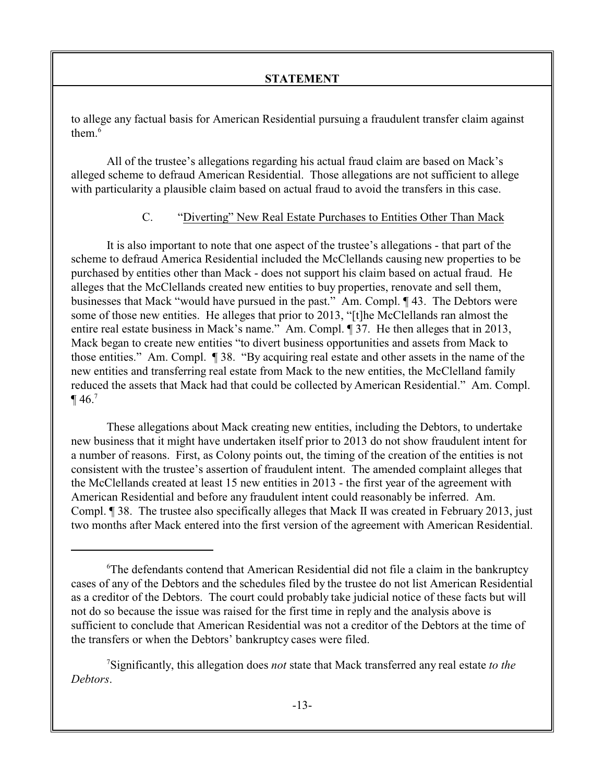to allege any factual basis for American Residential pursuing a fraudulent transfer claim against them.<sup>6</sup>

All of the trustee's allegations regarding his actual fraud claim are based on Mack's alleged scheme to defraud American Residential. Those allegations are not sufficient to allege with particularity a plausible claim based on actual fraud to avoid the transfers in this case.

# C. "Diverting" New Real Estate Purchases to Entities Other Than Mack

It is also important to note that one aspect of the trustee's allegations - that part of the scheme to defraud America Residential included the McClellands causing new properties to be purchased by entities other than Mack - does not support his claim based on actual fraud. He alleges that the McClellands created new entities to buy properties, renovate and sell them, businesses that Mack "would have pursued in the past." Am. Compl. ¶ 43. The Debtors were some of those new entities. He alleges that prior to 2013, "[t]he McClellands ran almost the entire real estate business in Mack's name." Am. Compl. ¶ 37. He then alleges that in 2013, Mack began to create new entities "to divert business opportunities and assets from Mack to those entities." Am. Compl. ¶ 38. "By acquiring real estate and other assets in the name of the new entities and transferring real estate from Mack to the new entities, the McClelland family reduced the assets that Mack had that could be collected by American Residential." Am. Compl.  $\P$  46.<sup>7</sup>

These allegations about Mack creating new entities, including the Debtors, to undertake new business that it might have undertaken itself prior to 2013 do not show fraudulent intent for a number of reasons. First, as Colony points out, the timing of the creation of the entities is not consistent with the trustee's assertion of fraudulent intent. The amended complaint alleges that the McClellands created at least 15 new entities in 2013 - the first year of the agreement with American Residential and before any fraudulent intent could reasonably be inferred. Am. Compl. ¶ 38. The trustee also specifically alleges that Mack II was created in February 2013, just two months after Mack entered into the first version of the agreement with American Residential.

<sup>&</sup>lt;sup>6</sup>The defendants contend that American Residential did not file a claim in the bankruptcy cases of any of the Debtors and the schedules filed by the trustee do not list American Residential as a creditor of the Debtors. The court could probably take judicial notice of these facts but will not do so because the issue was raised for the first time in reply and the analysis above is sufficient to conclude that American Residential was not a creditor of the Debtors at the time of the transfers or when the Debtors' bankruptcy cases were filed.

<sup>7</sup>Significantly, this allegation does *not* state that Mack transferred any real estate *to the Debtors*.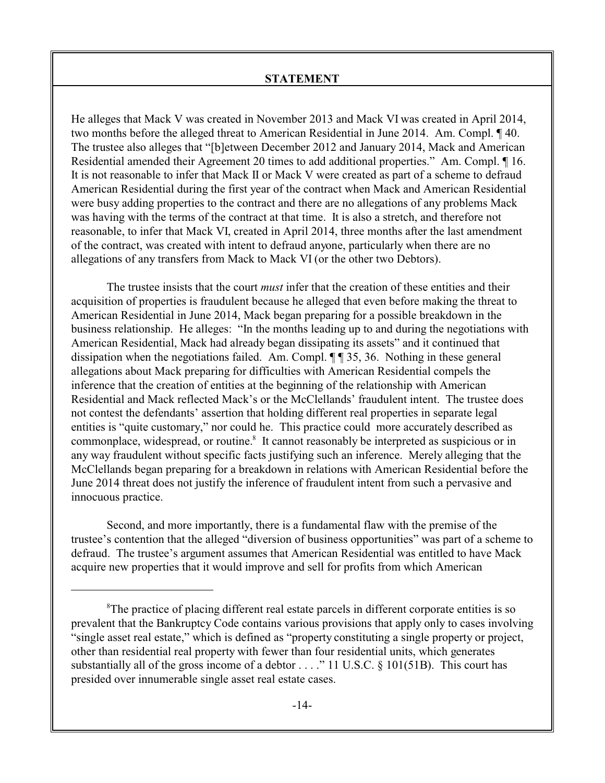He alleges that Mack V was created in November 2013 and Mack VI was created in April 2014, two months before the alleged threat to American Residential in June 2014. Am. Compl. ¶ 40. The trustee also alleges that "[b]etween December 2012 and January 2014, Mack and American Residential amended their Agreement 20 times to add additional properties." Am. Compl. ¶ 16. It is not reasonable to infer that Mack II or Mack V were created as part of a scheme to defraud American Residential during the first year of the contract when Mack and American Residential were busy adding properties to the contract and there are no allegations of any problems Mack was having with the terms of the contract at that time. It is also a stretch, and therefore not reasonable, to infer that Mack VI, created in April 2014, three months after the last amendment of the contract, was created with intent to defraud anyone, particularly when there are no allegations of any transfers from Mack to Mack VI (or the other two Debtors).

The trustee insists that the court *must* infer that the creation of these entities and their acquisition of properties is fraudulent because he alleged that even before making the threat to American Residential in June 2014, Mack began preparing for a possible breakdown in the business relationship. He alleges: "In the months leading up to and during the negotiations with American Residential, Mack had already began dissipating its assets" and it continued that dissipation when the negotiations failed. Am. Compl. ¶ ¶ 35, 36. Nothing in these general allegations about Mack preparing for difficulties with American Residential compels the inference that the creation of entities at the beginning of the relationship with American Residential and Mack reflected Mack's or the McClellands' fraudulent intent. The trustee does not contest the defendants' assertion that holding different real properties in separate legal entities is "quite customary," nor could he. This practice could more accurately described as commonplace, widespread, or routine.<sup>8</sup> It cannot reasonably be interpreted as suspicious or in any way fraudulent without specific facts justifying such an inference. Merely alleging that the McClellands began preparing for a breakdown in relations with American Residential before the June 2014 threat does not justify the inference of fraudulent intent from such a pervasive and innocuous practice.

Second, and more importantly, there is a fundamental flaw with the premise of the trustee's contention that the alleged "diversion of business opportunities" was part of a scheme to defraud. The trustee's argument assumes that American Residential was entitled to have Mack acquire new properties that it would improve and sell for profits from which American

 ${}^8$ The practice of placing different real estate parcels in different corporate entities is so prevalent that the Bankruptcy Code contains various provisions that apply only to cases involving "single asset real estate," which is defined as "property constituting a single property or project, other than residential real property with fewer than four residential units, which generates substantially all of the gross income of a debtor  $\dots$  ." 11 U.S.C. § 101(51B). This court has presided over innumerable single asset real estate cases.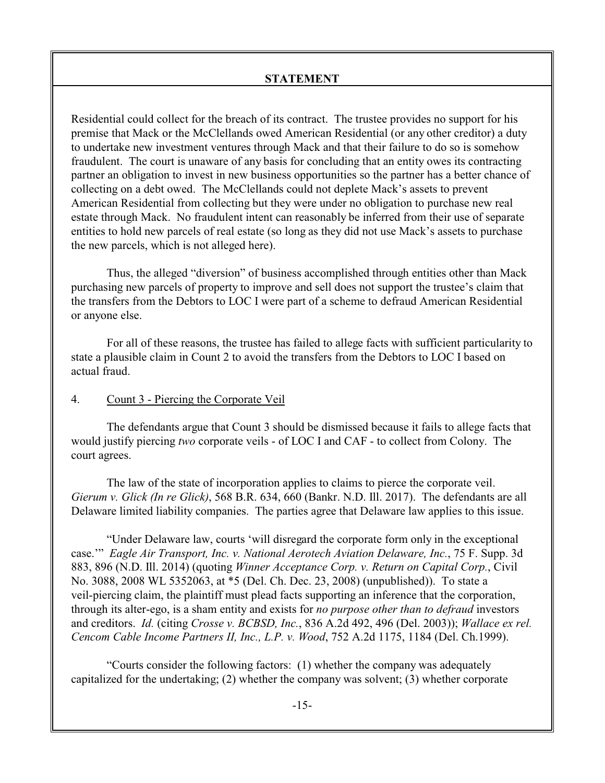Residential could collect for the breach of its contract. The trustee provides no support for his premise that Mack or the McClellands owed American Residential (or any other creditor) a duty to undertake new investment ventures through Mack and that their failure to do so is somehow fraudulent. The court is unaware of any basis for concluding that an entity owes its contracting partner an obligation to invest in new business opportunities so the partner has a better chance of collecting on a debt owed. The McClellands could not deplete Mack's assets to prevent American Residential from collecting but they were under no obligation to purchase new real estate through Mack. No fraudulent intent can reasonably be inferred from their use of separate entities to hold new parcels of real estate (so long as they did not use Mack's assets to purchase the new parcels, which is not alleged here).

Thus, the alleged "diversion" of business accomplished through entities other than Mack purchasing new parcels of property to improve and sell does not support the trustee's claim that the transfers from the Debtors to LOC I were part of a scheme to defraud American Residential or anyone else.

For all of these reasons, the trustee has failed to allege facts with sufficient particularity to state a plausible claim in Count 2 to avoid the transfers from the Debtors to LOC I based on actual fraud.

# 4. Count 3 - Piercing the Corporate Veil

The defendants argue that Count 3 should be dismissed because it fails to allege facts that would justify piercing *two* corporate veils - of LOC I and CAF - to collect from Colony. The court agrees.

The law of the state of incorporation applies to claims to pierce the corporate veil. *Gierum v. Glick (In re Glick)*, 568 B.R. 634, 660 (Bankr. N.D. Ill. 2017). The defendants are all Delaware limited liability companies. The parties agree that Delaware law applies to this issue.

"Under Delaware law, courts 'will disregard the corporate form only in the exceptional case.'" *Eagle Air Transport, Inc. v. National Aerotech Aviation Delaware, Inc.*, 75 F. Supp. 3d 883, 896 (N.D. Ill. 2014) (quoting *Winner Acceptance Corp. v. Return on Capital Corp.*, Civil No. 3088, 2008 WL 5352063, at \*5 (Del. Ch. Dec. 23, 2008) (unpublished)). To state a veil-piercing claim, the plaintiff must plead facts supporting an inference that the corporation, through its alter-ego, is a sham entity and exists for *no purpose other than to defraud* investors and creditors. *Id.* (citing *Crosse v. BCBSD, Inc.*, 836 A.2d 492, 496 (Del. 2003)); *Wallace ex rel. Cencom Cable Income Partners II, Inc., L.P. v. Wood*, 752 A.2d 1175, 1184 (Del. Ch.1999).

"Courts consider the following factors: (1) whether the company was adequately capitalized for the undertaking; (2) whether the company was solvent; (3) whether corporate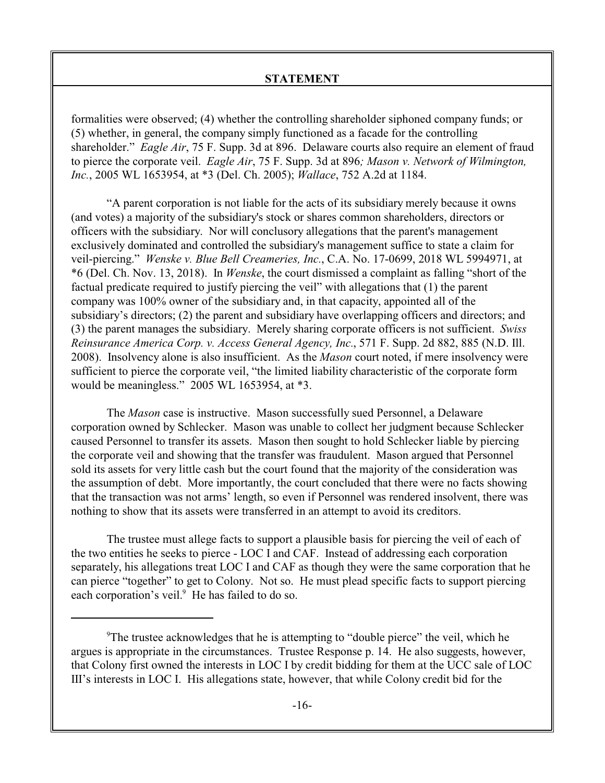formalities were observed; (4) whether the controlling shareholder siphoned company funds; or (5) whether, in general, the company simply functioned as a facade for the controlling shareholder." *Eagle Air*, 75 F. Supp. 3d at 896. Delaware courts also require an element of fraud to pierce the corporate veil. *Eagle Air*, 75 F. Supp. 3d at 896*; Mason v. Network of Wilmington, Inc.*, 2005 WL 1653954, at \*3 (Del. Ch. 2005); *Wallace*, 752 A.2d at 1184.

"A parent corporation is not liable for the acts of its subsidiary merely because it owns (and votes) a majority of the subsidiary's stock or shares common shareholders, directors or officers with the subsidiary. Nor will conclusory allegations that the parent's management exclusively dominated and controlled the subsidiary's management suffice to state a claim for veil-piercing." *Wenske v. Blue Bell Creameries, Inc.*, C.A. No. 17-0699, 2018 WL 5994971, at \*6 (Del. Ch. Nov. 13, 2018). In *Wenske*, the court dismissed a complaint as falling "short of the factual predicate required to justify piercing the veil" with allegations that (1) the parent company was 100% owner of the subsidiary and, in that capacity, appointed all of the subsidiary's directors; (2) the parent and subsidiary have overlapping officers and directors; and (3) the parent manages the subsidiary. Merely sharing corporate officers is not sufficient. *Swiss Reinsurance America Corp. v. Access General Agency, Inc.*, 571 F. Supp. 2d 882, 885 (N.D. Ill. 2008). Insolvency alone is also insufficient. As the *Mason* court noted, if mere insolvency were sufficient to pierce the corporate veil, "the limited liability characteristic of the corporate form would be meaningless." 2005 WL 1653954, at \*3.

The *Mason* case is instructive. Mason successfully sued Personnel, a Delaware corporation owned by Schlecker. Mason was unable to collect her judgment because Schlecker caused Personnel to transfer its assets. Mason then sought to hold Schlecker liable by piercing the corporate veil and showing that the transfer was fraudulent. Mason argued that Personnel sold its assets for very little cash but the court found that the majority of the consideration was the assumption of debt. More importantly, the court concluded that there were no facts showing that the transaction was not arms' length, so even if Personnel was rendered insolvent, there was nothing to show that its assets were transferred in an attempt to avoid its creditors.

The trustee must allege facts to support a plausible basis for piercing the veil of each of the two entities he seeks to pierce - LOC I and CAF. Instead of addressing each corporation separately, his allegations treat LOC I and CAF as though they were the same corporation that he can pierce "together" to get to Colony. Not so. He must plead specific facts to support piercing each corporation's veil.<sup>9</sup> He has failed to do so.

<sup>&</sup>lt;sup>9</sup>The trustee acknowledges that he is attempting to "double pierce" the veil, which he argues is appropriate in the circumstances. Trustee Response p. 14. He also suggests, however, that Colony first owned the interests in LOC I by credit bidding for them at the UCC sale of LOC III's interests in LOC I. His allegations state, however, that while Colony credit bid for the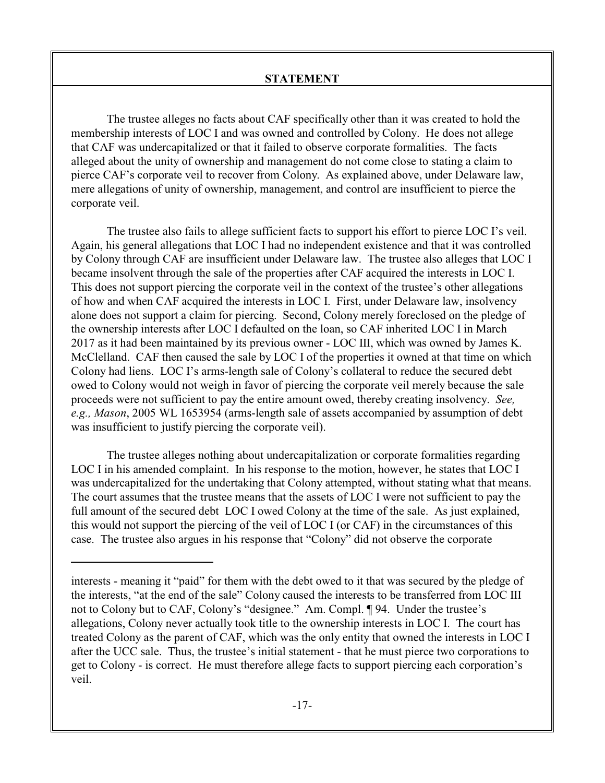The trustee alleges no facts about CAF specifically other than it was created to hold the membership interests of LOC I and was owned and controlled by Colony. He does not allege that CAF was undercapitalized or that it failed to observe corporate formalities. The facts alleged about the unity of ownership and management do not come close to stating a claim to pierce CAF's corporate veil to recover from Colony. As explained above, under Delaware law, mere allegations of unity of ownership, management, and control are insufficient to pierce the corporate veil.

The trustee also fails to allege sufficient facts to support his effort to pierce LOC I's veil. Again, his general allegations that LOC I had no independent existence and that it was controlled by Colony through CAF are insufficient under Delaware law. The trustee also alleges that LOC I became insolvent through the sale of the properties after CAF acquired the interests in LOC I. This does not support piercing the corporate veil in the context of the trustee's other allegations of how and when CAF acquired the interests in LOC I. First, under Delaware law, insolvency alone does not support a claim for piercing. Second, Colony merely foreclosed on the pledge of the ownership interests after LOC I defaulted on the loan, so CAF inherited LOC I in March 2017 as it had been maintained by its previous owner - LOC III, which was owned by James K. McClelland. CAF then caused the sale by LOC I of the properties it owned at that time on which Colony had liens. LOC I's arms-length sale of Colony's collateral to reduce the secured debt owed to Colony would not weigh in favor of piercing the corporate veil merely because the sale proceeds were not sufficient to pay the entire amount owed, thereby creating insolvency. *See, e.g., Mason*, 2005 WL 1653954 (arms-length sale of assets accompanied by assumption of debt was insufficient to justify piercing the corporate veil).

The trustee alleges nothing about undercapitalization or corporate formalities regarding LOC I in his amended complaint. In his response to the motion, however, he states that LOC I was undercapitalized for the undertaking that Colony attempted, without stating what that means. The court assumes that the trustee means that the assets of LOC I were not sufficient to pay the full amount of the secured debt LOC I owed Colony at the time of the sale. As just explained, this would not support the piercing of the veil of LOC I (or CAF) in the circumstances of this case. The trustee also argues in his response that "Colony" did not observe the corporate

interests - meaning it "paid" for them with the debt owed to it that was secured by the pledge of the interests, "at the end of the sale" Colony caused the interests to be transferred from LOC III not to Colony but to CAF, Colony's "designee." Am. Compl. ¶ 94. Under the trustee's allegations, Colony never actually took title to the ownership interests in LOC I. The court has treated Colony as the parent of CAF, which was the only entity that owned the interests in LOC I after the UCC sale. Thus, the trustee's initial statement - that he must pierce two corporations to get to Colony - is correct. He must therefore allege facts to support piercing each corporation's veil.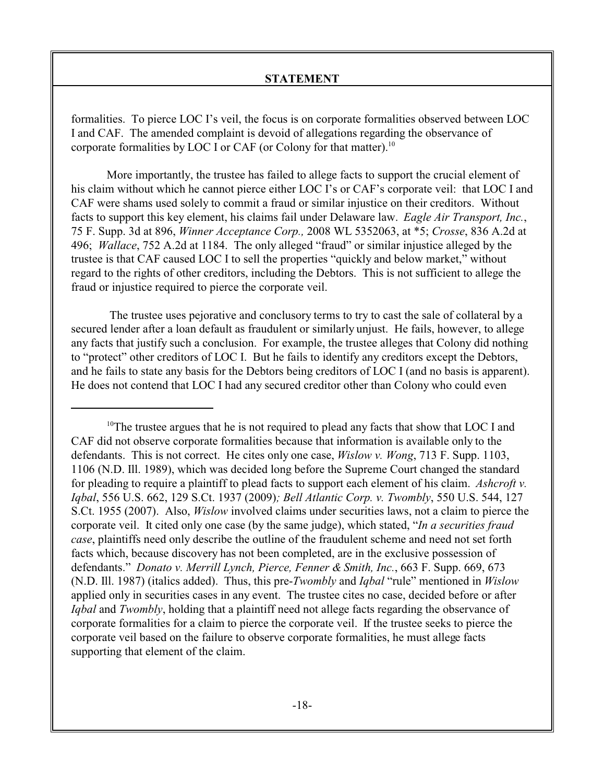formalities. To pierce LOC I's veil, the focus is on corporate formalities observed between LOC I and CAF. The amended complaint is devoid of allegations regarding the observance of corporate formalities by LOC I or CAF (or Colony for that matter).<sup>10</sup>

More importantly, the trustee has failed to allege facts to support the crucial element of his claim without which he cannot pierce either LOC I's or CAF's corporate veil: that LOC I and CAF were shams used solely to commit a fraud or similar injustice on their creditors. Without facts to support this key element, his claims fail under Delaware law. *Eagle Air Transport, Inc.*, 75 F. Supp. 3d at 896, *Winner Acceptance Corp.,* 2008 WL 5352063, at \*5; *Crosse*, 836 A.2d at 496; *Wallace*, 752 A.2d at 1184. The only alleged "fraud" or similar injustice alleged by the trustee is that CAF caused LOC I to sell the properties "quickly and below market," without regard to the rights of other creditors, including the Debtors. This is not sufficient to allege the fraud or injustice required to pierce the corporate veil.

 The trustee uses pejorative and conclusory terms to try to cast the sale of collateral by a secured lender after a loan default as fraudulent or similarly unjust. He fails, however, to allege any facts that justify such a conclusion. For example, the trustee alleges that Colony did nothing to "protect" other creditors of LOC I. But he fails to identify any creditors except the Debtors, and he fails to state any basis for the Debtors being creditors of LOC I (and no basis is apparent). He does not contend that LOC I had any secured creditor other than Colony who could even

 $10$ <sup>10</sup>The trustee argues that he is not required to plead any facts that show that LOC I and CAF did not observe corporate formalities because that information is available only to the defendants. This is not correct. He cites only one case, *Wislow v. Wong*, 713 F. Supp. 1103, 1106 (N.D. Ill. 1989), which was decided long before the Supreme Court changed the standard for pleading to require a plaintiff to plead facts to support each element of his claim. *Ashcroft v. Iqbal*, 556 U.S. 662, 129 S.Ct. 1937 (2009)*; Bell Atlantic Corp. v. Twombly*, 550 U.S. 544, 127 S.Ct. 1955 (2007). Also, *Wislow* involved claims under securities laws, not a claim to pierce the corporate veil. It cited only one case (by the same judge), which stated, "*In a securities fraud case*, plaintiffs need only describe the outline of the fraudulent scheme and need not set forth facts which, because discovery has not been completed, are in the exclusive possession of defendants." *Donato v. Merrill Lynch, Pierce, Fenner & Smith, Inc.*, 663 F. Supp. 669, 673 (N.D. Ill. 1987) (italics added). Thus, this pre-*Twombly* and *Iqbal* "rule" mentioned in *Wislow* applied only in securities cases in any event. The trustee cites no case, decided before or after *Iqbal* and *Twombly*, holding that a plaintiff need not allege facts regarding the observance of corporate formalities for a claim to pierce the corporate veil. If the trustee seeks to pierce the corporate veil based on the failure to observe corporate formalities, he must allege facts supporting that element of the claim.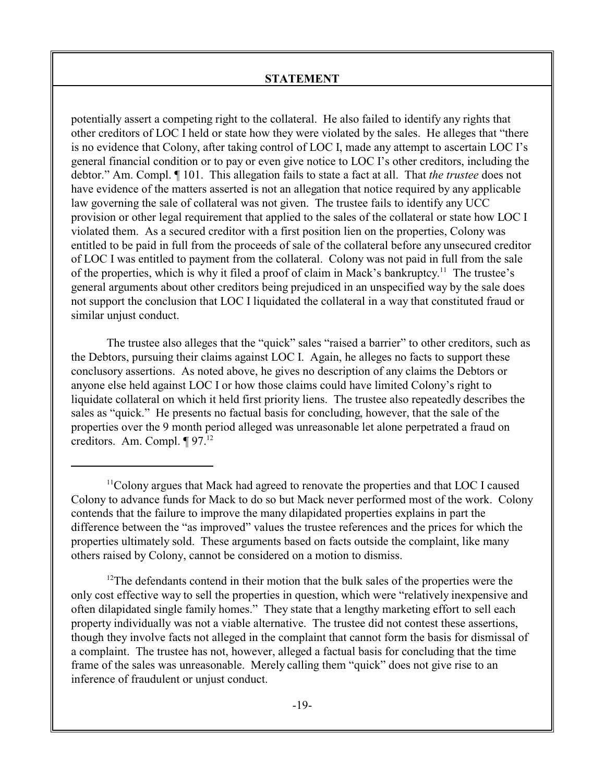potentially assert a competing right to the collateral. He also failed to identify any rights that other creditors of LOC I held or state how they were violated by the sales. He alleges that "there is no evidence that Colony, after taking control of LOC I, made any attempt to ascertain LOC I's general financial condition or to pay or even give notice to LOC I's other creditors, including the debtor." Am. Compl. ¶ 101. This allegation fails to state a fact at all. That *the trustee* does not have evidence of the matters asserted is not an allegation that notice required by any applicable law governing the sale of collateral was not given. The trustee fails to identify any UCC provision or other legal requirement that applied to the sales of the collateral or state how LOC I violated them. As a secured creditor with a first position lien on the properties, Colony was entitled to be paid in full from the proceeds of sale of the collateral before any unsecured creditor of LOC I was entitled to payment from the collateral. Colony was not paid in full from the sale of the properties, which is why it filed a proof of claim in Mack's bankruptcy.<sup>11</sup> The trustee's general arguments about other creditors being prejudiced in an unspecified way by the sale does not support the conclusion that LOC I liquidated the collateral in a way that constituted fraud or similar unjust conduct.

The trustee also alleges that the "quick" sales "raised a barrier" to other creditors, such as the Debtors, pursuing their claims against LOC I. Again, he alleges no facts to support these conclusory assertions. As noted above, he gives no description of any claims the Debtors or anyone else held against LOC I or how those claims could have limited Colony's right to liquidate collateral on which it held first priority liens. The trustee also repeatedly describes the sales as "quick." He presents no factual basis for concluding, however, that the sale of the properties over the 9 month period alleged was unreasonable let alone perpetrated a fraud on creditors. Am. Compl. ¶ 97.<sup>12</sup>

 $12$ The defendants contend in their motion that the bulk sales of the properties were the only cost effective way to sell the properties in question, which were "relatively inexpensive and often dilapidated single family homes." They state that a lengthy marketing effort to sell each property individually was not a viable alternative. The trustee did not contest these assertions, though they involve facts not alleged in the complaint that cannot form the basis for dismissal of a complaint. The trustee has not, however, alleged a factual basis for concluding that the time frame of the sales was unreasonable. Merely calling them "quick" does not give rise to an inference of fraudulent or unjust conduct.

<sup>&</sup>lt;sup>11</sup>Colony argues that Mack had agreed to renovate the properties and that LOC I caused Colony to advance funds for Mack to do so but Mack never performed most of the work. Colony contends that the failure to improve the many dilapidated properties explains in part the difference between the "as improved" values the trustee references and the prices for which the properties ultimately sold. These arguments based on facts outside the complaint, like many others raised by Colony, cannot be considered on a motion to dismiss.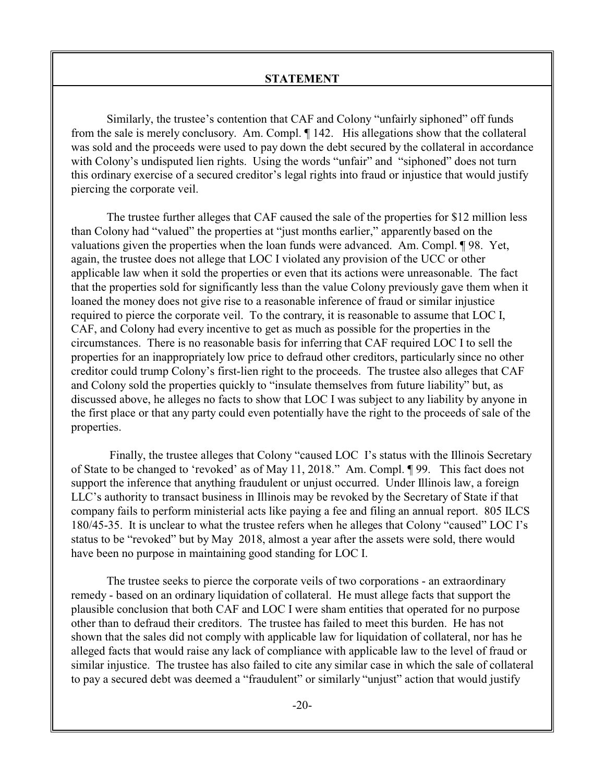Similarly, the trustee's contention that CAF and Colony "unfairly siphoned" off funds from the sale is merely conclusory. Am. Compl. ¶ 142. His allegations show that the collateral was sold and the proceeds were used to pay down the debt secured by the collateral in accordance with Colony's undisputed lien rights. Using the words "unfair" and "siphoned" does not turn this ordinary exercise of a secured creditor's legal rights into fraud or injustice that would justify piercing the corporate veil.

The trustee further alleges that CAF caused the sale of the properties for \$12 million less than Colony had "valued" the properties at "just months earlier," apparently based on the valuations given the properties when the loan funds were advanced. Am. Compl. ¶ 98. Yet, again, the trustee does not allege that LOC I violated any provision of the UCC or other applicable law when it sold the properties or even that its actions were unreasonable. The fact that the properties sold for significantly less than the value Colony previously gave them when it loaned the money does not give rise to a reasonable inference of fraud or similar injustice required to pierce the corporate veil. To the contrary, it is reasonable to assume that LOC I, CAF, and Colony had every incentive to get as much as possible for the properties in the circumstances. There is no reasonable basis for inferring that CAF required LOC I to sell the properties for an inappropriately low price to defraud other creditors, particularly since no other creditor could trump Colony's first-lien right to the proceeds. The trustee also alleges that CAF and Colony sold the properties quickly to "insulate themselves from future liability" but, as discussed above, he alleges no facts to show that LOC I was subject to any liability by anyone in the first place or that any party could even potentially have the right to the proceeds of sale of the properties.

 Finally, the trustee alleges that Colony "caused LOC I's status with the Illinois Secretary of State to be changed to 'revoked' as of May 11, 2018." Am. Compl. ¶ 99. This fact does not support the inference that anything fraudulent or unjust occurred. Under Illinois law, a foreign LLC's authority to transact business in Illinois may be revoked by the Secretary of State if that company fails to perform ministerial acts like paying a fee and filing an annual report. 805 ILCS 180/45-35. It is unclear to what the trustee refers when he alleges that Colony "caused" LOC I's status to be "revoked" but by May 2018, almost a year after the assets were sold, there would have been no purpose in maintaining good standing for LOC I.

The trustee seeks to pierce the corporate veils of two corporations - an extraordinary remedy - based on an ordinary liquidation of collateral. He must allege facts that support the plausible conclusion that both CAF and LOC I were sham entities that operated for no purpose other than to defraud their creditors. The trustee has failed to meet this burden. He has not shown that the sales did not comply with applicable law for liquidation of collateral, nor has he alleged facts that would raise any lack of compliance with applicable law to the level of fraud or similar injustice. The trustee has also failed to cite any similar case in which the sale of collateral to pay a secured debt was deemed a "fraudulent" or similarly "unjust" action that would justify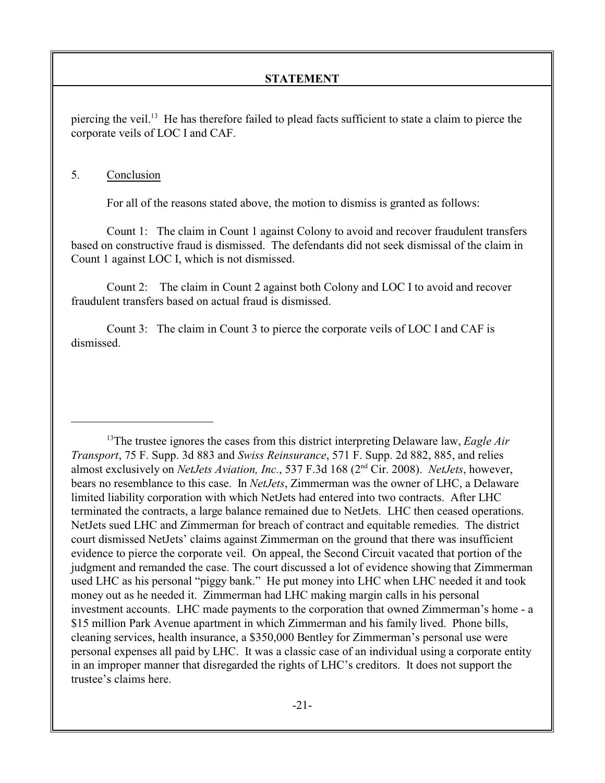piercing the veil.<sup>13</sup> He has therefore failed to plead facts sufficient to state a claim to pierce the corporate veils of LOC I and CAF.

### 5. Conclusion

For all of the reasons stated above, the motion to dismiss is granted as follows:

Count 1: The claim in Count 1 against Colony to avoid and recover fraudulent transfers based on constructive fraud is dismissed. The defendants did not seek dismissal of the claim in Count 1 against LOC I, which is not dismissed.

Count 2: The claim in Count 2 against both Colony and LOC I to avoid and recover fraudulent transfers based on actual fraud is dismissed.

Count 3: The claim in Count 3 to pierce the corporate veils of LOC I and CAF is dismissed.

<sup>&</sup>lt;sup>13</sup>The trustee ignores the cases from this district interpreting Delaware law, *Eagle Air Transport*, 75 F. Supp. 3d 883 and *Swiss Reinsurance*, 571 F. Supp. 2d 882, 885, and relies almost exclusively on *NetJets Aviation, Inc.*, 537 F.3d 168 (2<sup>nd</sup> Cir. 2008). *NetJets*, however, bears no resemblance to this case. In *NetJets*, Zimmerman was the owner of LHC, a Delaware limited liability corporation with which NetJets had entered into two contracts. After LHC terminated the contracts, a large balance remained due to NetJets. LHC then ceased operations. NetJets sued LHC and Zimmerman for breach of contract and equitable remedies. The district court dismissed NetJets' claims against Zimmerman on the ground that there was insufficient evidence to pierce the corporate veil. On appeal, the Second Circuit vacated that portion of the judgment and remanded the case. The court discussed a lot of evidence showing that Zimmerman used LHC as his personal "piggy bank." He put money into LHC when LHC needed it and took money out as he needed it. Zimmerman had LHC making margin calls in his personal investment accounts. LHC made payments to the corporation that owned Zimmerman's home - a \$15 million Park Avenue apartment in which Zimmerman and his family lived. Phone bills, cleaning services, health insurance, a \$350,000 Bentley for Zimmerman's personal use were personal expenses all paid by LHC. It was a classic case of an individual using a corporate entity in an improper manner that disregarded the rights of LHC's creditors. It does not support the trustee's claims here.